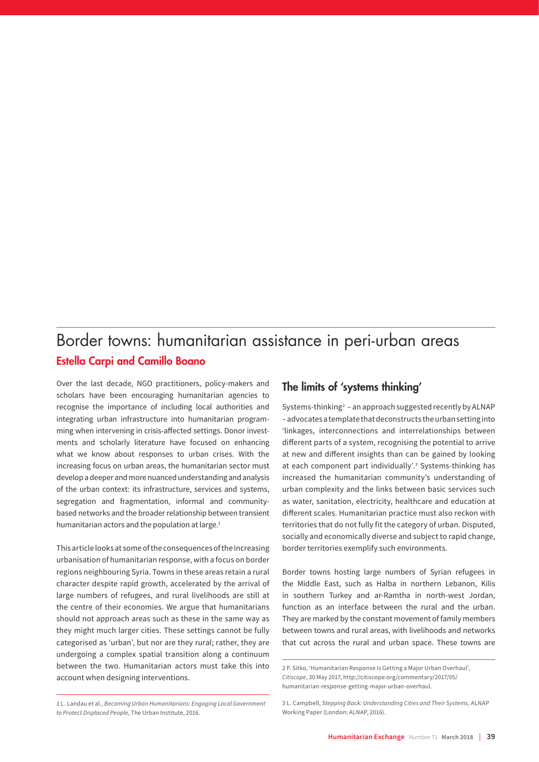## Border towns: humanitarian assistance in peri-urban areas Estella Carpi and Camillo Boano

Over the last decade, NGO practitioners, policy-makers and scholars have been encouraging humanitarian agencies to recognise the importance of including local authorities and integrating urban infrastructure into humanitarian programming when intervening in crisis-affected settings. Donor investments and scholarly literature have focused on enhancing what we know about responses to urban crises. With the increasing focus on urban areas, the humanitarian sector must develop a deeper and more nuanced understanding and analysis of the urban context: its infrastructure, services and systems, segregation and fragmentation, informal and communitybased networks and the broader relationship between transient humanitarian actors and the population at large.<sup>1</sup>

This article looks at some of the consequences of the increasing urbanisation of humanitarian response, with a focus on border regions neighbouring Syria. Towns in these areas retain a rural character despite rapid growth, accelerated by the arrival of large numbers of refugees, and rural livelihoods are still at the centre of their economies. We argue that humanitarians should not approach areas such as these in the same way as they might much larger cities. These settings cannot be fully categorised as 'urban', but nor are they rural; rather, they are undergoing a complex spatial transition along a continuum between the two. Humanitarian actors must take this into account when designing interventions.

## The limits of 'systems thinking'

Systems-thinking<sup>2</sup> – an approach suggested recently by ALNAP – advocates a template that deconstructs the urban setting into 'linkages, interconnections and interrelationships between different parts of a system, recognising the potential to arrive at new and different insights than can be gained by looking at each component part individually'.<sup>3</sup> Systems-thinking has increased the humanitarian community's understanding of urban complexity and the links between basic services such as water, sanitation, electricity, healthcare and education at different scales. Humanitarian practice must also reckon with territories that do not fully fit the category of urban. Disputed, socially and economically diverse and subject to rapid change, border territories exemplify such environments.

Border towns hosting large numbers of Syrian refugees in the Middle East, such as Halba in northern Lebanon, Kilis in southern Turkey and ar-Ramtha in north-west Jordan, function as an interface between the rural and the urban. They are marked by the constant movement of family members between towns and rural areas, with livelihoods and networks that cut across the rural and urban space. These towns are

<sup>2</sup> P. Sitko, 'Humanitarian Response Is Getting a Major Urban Overhaul', *Citiscope*, 30 May 2017, [http://citiscope.org/commentary/2017/05/](http://citiscope.org/commentary/2017/05/humanitarian-response-getting-major-urban-overhaul) [humanitarian-response-getting-major-urban-overhaul.](http://citiscope.org/commentary/2017/05/humanitarian-response-getting-major-urban-overhaul)

<sup>1</sup> L. Landau et al., *Becoming Urban Humanitarians: Engaging Local Government to Protect Displaced People*, The Urban Institute, 2016.

<sup>3</sup> L. Campbell, *Stepping Back: Understanding Cities and Their Systems*, ALNAP Working Paper (London: ALNAP, 2016).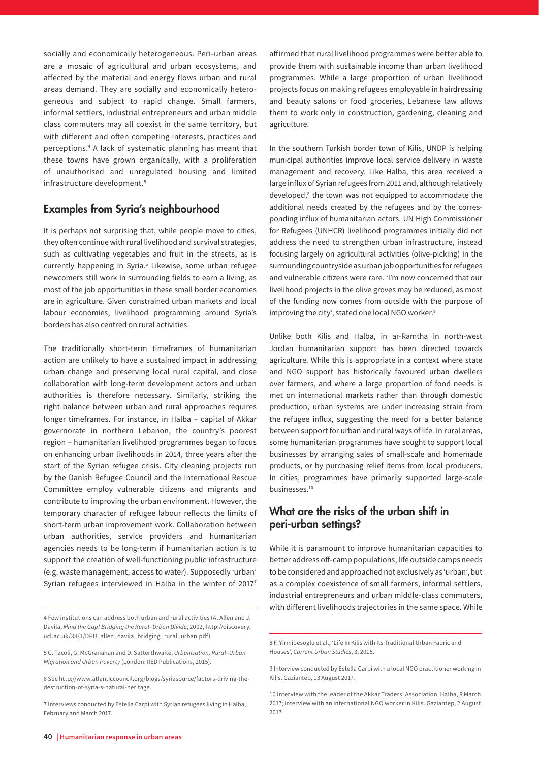socially and economically heterogeneous. Peri-urban areas are a mosaic of agricultural and urban ecosystems, and affected by the material and energy flows urban and rural areas demand. They are socially and economically heterogeneous and subject to rapid change. Small farmers, informal settlers, industrial entrepreneurs and urban middle class commuters may all coexist in the same territory, but with different and often competing interests, practices and perceptions.4 A lack of systematic planning has meant that these towns have grown organically, with a proliferation of unauthorised and unregulated housing and limited infrastructure development.5

## Examples from Syria's neighbourhood

It is perhaps not surprising that, while people move to cities, they often continue with rural livelihood and survival strategies, such as cultivating vegetables and fruit in the streets, as is currently happening in Syria.<sup>6</sup> Likewise, some urban refugee newcomers still work in surrounding fields to earn a living, as most of the job opportunities in these small border economies are in agriculture. Given constrained urban markets and local labour economies, livelihood programming around Syria's borders has also centred on rural activities.

The traditionally short-term timeframes of humanitarian action are unlikely to have a sustained impact in addressing urban change and preserving local rural capital, and close collaboration with long-term development actors and urban authorities is therefore necessary. Similarly, striking the right balance between urban and rural approaches requires longer timeframes. For instance, in Halba – capital of Akkar governorate in northern Lebanon, the country's poorest region – humanitarian livelihood programmes began to focus on enhancing urban livelihoods in 2014, three years after the start of the Syrian refugee crisis. City cleaning projects run by the Danish Refugee Council and the International Rescue Committee employ vulnerable citizens and migrants and contribute to improving the urban environment. However, the temporary character of refugee labour reflects the limits of short-term urban improvement work. Collaboration between urban authorities, service providers and humanitarian agencies needs to be long-term if humanitarian action is to support the creation of well-functioning public infrastructure (e.g. waste management, access to water). Supposedly 'urban' Syrian refugees interviewed in Halba in the winter of 2017<sup>7</sup>

affirmed that rural livelihood programmes were better able to provide them with sustainable income than urban livelihood programmes. While a large proportion of urban livelihood projects focus on making refugees employable in hairdressing and beauty salons or food groceries, Lebanese law allows them to work only in construction, gardening, cleaning and agriculture.

In the southern Turkish border town of Kilis, UNDP is helping municipal authorities improve local service delivery in waste management and recovery. Like Halba, this area received a large influx of Syrian refugees from 2011 and, although relatively developed,<sup>8</sup> the town was not equipped to accommodate the additional needs created by the refugees and by the corresponding influx of humanitarian actors. UN High Commissioner for Refugees (UNHCR) livelihood programmes initially did not address the need to strengthen urban infrastructure, instead focusing largely on agricultural activities (olive-picking) in the surrounding countryside as urban job opportunities for refugees and vulnerable citizens were rare. 'I'm now concerned that our livelihood projects in the olive groves may be reduced, as most of the funding now comes from outside with the purpose of improving the city', stated one local NGO worker.<sup>9</sup>

Unlike both Kilis and Halba, in ar-Ramtha in north-west Jordan humanitarian support has been directed towards agriculture. While this is appropriate in a context where state and NGO support has historically favoured urban dwellers over farmers, and where a large proportion of food needs is met on international markets rather than through domestic production, urban systems are under increasing strain from the refugee influx, suggesting the need for a better balance between support for urban and rural ways of life. In rural areas, some humanitarian programmes have sought to support local businesses by arranging sales of small-scale and homemade products, or by purchasing relief items from local producers. In cities, programmes have primarily supported large-scale businesses.10

## What are the risks of the urban shift in peri-urban settings?

While it is paramount to improve humanitarian capacities to better address off-camp populations, life outside camps needs to be considered and approached not exclusively as 'urban', but as a complex coexistence of small farmers, informal settlers, industrial entrepreneurs and urban middle-class commuters, with different livelihoods trajectories in the same space. While

<sup>4</sup> Few institutions can address both urban and rural activities (A. Allen and J. Davila, *Mind the Gap! Bridging the Rural–Urban Divide*, 2002, [http://discovery.](http://discovery.ucl.ac.uk/38/1/DPU_allen_davila_bridging_rural_urban.pdf)) [ucl.ac.uk/38/1/DPU\\_allen\\_davila\\_bridging\\_rural\\_urban.pdf\)](http://discovery.ucl.ac.uk/38/1/DPU_allen_davila_bridging_rural_urban.pdf)).

<sup>5</sup> C. Tacoli, G. McGranahan and D. Satterthwaite, *Urbanisation, Rural–Urban Migration and Urban Poverty* (London: IIED Publications, 2015).

<sup>6</sup> See [http://www.atlanticcouncil.org/blogs/syriasource/factors-driving-the](http://www.atlanticcouncil.org/blogs/syriasource/factors-driving-the-destruction-of-syria-s-natural-heritage)[destruction-of-syria-s-natural-heritage](http://www.atlanticcouncil.org/blogs/syriasource/factors-driving-the-destruction-of-syria-s-natural-heritage).

<sup>7</sup> Interviews conducted by Estella Carpi with Syrian refugees living in Halba, February and March 2017.

<sup>8</sup> F. Yirmibesoglu et al., 'Life In Kilis with Its Traditional Urban Fabric and Houses', *Current Urban Studies*, 3, 2015.

<sup>9</sup> Interview conducted by Estella Carpi with a local NGO practitioner working in Kilis. Gaziantep, 13 August 2017.

<sup>10</sup> Interview with the leader of the Akkar Traders' Association, Halba, 8 March 2017; interview with an international NGO worker in Kilis. Gaziantep, 2 August 2017.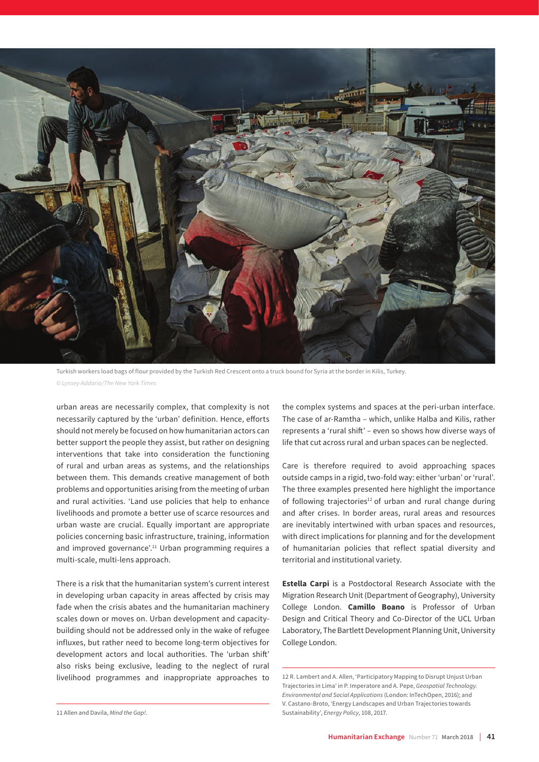

Turkish workers load bags of flour provided by the Turkish Red Crescent onto a truck bound for Syria at the border in Kilis, Turkey. *© Lynsey Addario/The New York Times*

urban areas are necessarily complex, that complexity is not necessarily captured by the 'urban' definition. Hence, efforts should not merely be focused on how humanitarian actors can better support the people they assist, but rather on designing interventions that take into consideration the functioning of rural and urban areas as systems, and the relationships between them. This demands creative management of both problems and opportunities arising from the meeting of urban and rural activities. 'Land use policies that help to enhance livelihoods and promote a better use of scarce resources and urban waste are crucial. Equally important are appropriate policies concerning basic infrastructure, training, information and improved governance'.<sup>11</sup> Urban programming requires a multi-scale, multi-lens approach.

There is a risk that the humanitarian system's current interest in developing urban capacity in areas affected by crisis may fade when the crisis abates and the humanitarian machinery scales down or moves on. Urban development and capacitybuilding should not be addressed only in the wake of refugee influxes, but rather need to become long-term objectives for development actors and local authorities. The 'urban shift' also risks being exclusive, leading to the neglect of rural livelihood programmes and inappropriate approaches to

the complex systems and spaces at the peri-urban interface. The case of ar-Ramtha – which, unlike Halba and Kilis, rather represents a 'rural shift' – even so shows how diverse ways of life that cut across rural and urban spaces can be neglected.

Care is therefore required to avoid approaching spaces outside camps in a rigid, two-fold way: either 'urban' or 'rural'. The three examples presented here highlight the importance of following trajectories<sup>12</sup> of urban and rural change during and after crises. In border areas, rural areas and resources are inevitably intertwined with urban spaces and resources, with direct implications for planning and for the development of humanitarian policies that reflect spatial diversity and territorial and institutional variety.

**Estella Carpi** is a Postdoctoral Research Associate with the Migration Research Unit (Department of Geography), University College London. **Camillo Boano** is Professor of Urban Design and Critical Theory and Co-Director of the UCL Urban Laboratory, The Bartlett Development Planning Unit, University College London.

12 R. Lambert and A. Allen, 'Participatory Mapping to Disrupt Unjust Urban Trajectories in Lima' in P. Imperatore and A. Pepe, *Geospatial Technology. Environmental and Social Applications* (London: InTechOpen, 2016); and V. Castano-Broto, 'Energy Landscapes and Urban Trajectories towards Sustainability', *Energy Policy*, 108, 2017.

<sup>11</sup> Allen and Davila, *Mind the Gap!*.